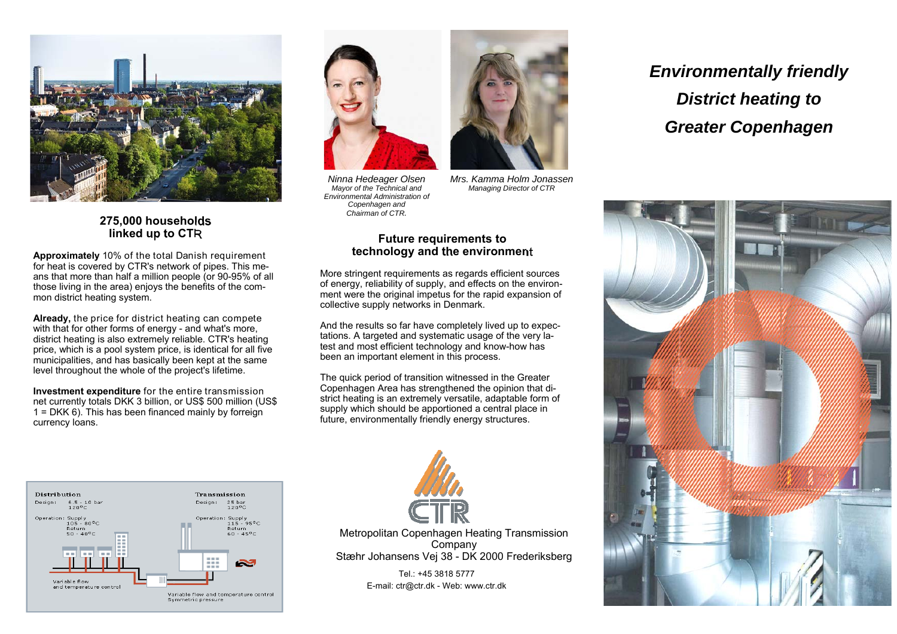

## **275,000 households linked up to CTR**

**Approximately** 10% of the total Danish requirement for heat is covered by CTR's network of pipes. This means that more than half a million people (or 90-95% of all those living in the area) enjoys the benefits of the common district heating system.

**Already,** the price for district heating can compete with that for other forms of energy - and what's more, district heating is also extremely reliable. CTR's heating price, which is a pool system price, is identical for all five municipalities, and has basically been kept at the same level throughout the whole of the project's lifetime.

**Investment expenditure** for the entire transmission net currently totals DKK 3 billion, or US\$ 500 million (US\$  $1 = DKK 6$ ). This has been financed mainly by forreign currency loans.



*Ninna Hedeager Olsen Mayor of the Technical and Environmental Administration of Copenhagen and Chairman of CTR.*

*Mrs. Kamma Holm Jonassen Managing Director of CTR* 

### **Future requirements to technology and the environment**

More stringent requirements as regards efficient sources of energy, reliability of supply, and effects on the environment were the original impetus for the rapid expansion of collective supply networks in Denmark.

And the results so far have completely lived up to expectations. A targeted and systematic usage of the very latest and most efficient technology and know-how has been an important element in this process.

The quick period of transition witnessed in the Greater Copenhagen Area has strengthened the opinion that district heating is an extremely versatile, adaptable form of supply which should be apportioned a central place in future, environmentally friendly energy structures.



Metropolitan Copenhagen Heating Transmission **Company** Stæhr Johansens Vej 38 - DK 2000 Frederiksberg

> Tel.: +45 3818 5777 E-mail: ctr@ctr.dk - Web: www.ctr.dk

# *Environmentally friendly District heating to Greater Copenhagen*